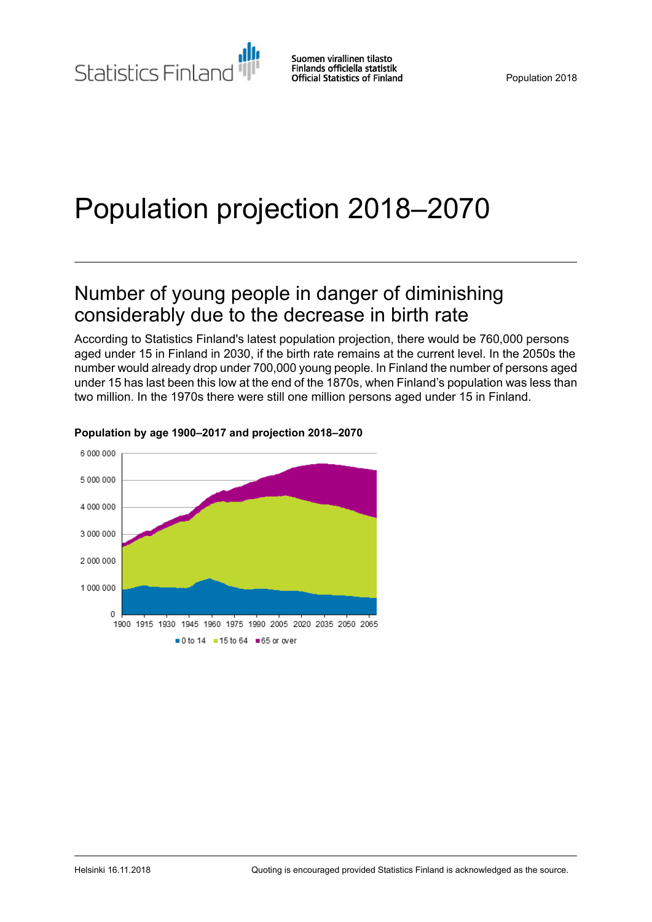Statistics Finland

Suomen virallinen tilasto Finlands officiella statistik **Official Statistics of Finland** 

# Population projection 2018–2070

## Number of young people in danger of diminishing considerably due to the decrease in birth rate

According to Statistics Finland's latest population projection, there would be 760,000 persons aged under 15 in Finland in 2030, if the birth rate remains at the current level. In the 2050s the number would already drop under 700,000 young people. In Finland the number of persons aged under 15 has last been this low at the end of the 1870s, when Finland's population was less than two million. In the 1970s there were still one million persons aged under 15 in Finland.



#### **Population by age 1900–2017 and projection 2018–2070**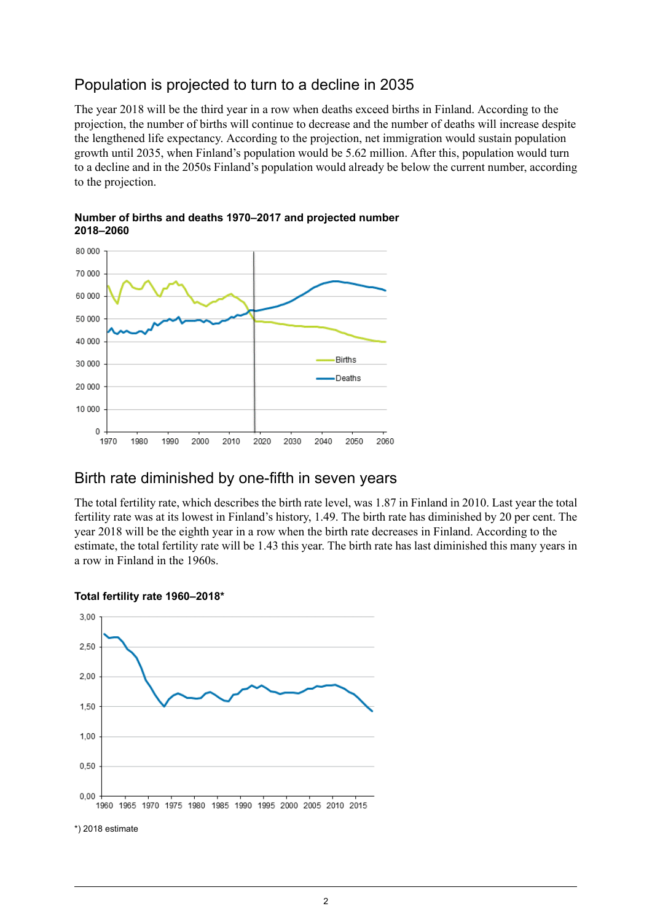### Population is projected to turn to a decline in 2035

The year 2018 will be the third year in a row when deaths exceed births in Finland. According to the projection, the number of births will continue to decrease and the number of deaths will increase despite the lengthened life expectancy. According to the projection, net immigration would sustain population growth until 2035, when Finland's population would be 5.62 million. After this, population would turn to a decline and in the 2050s Finland's population would already be below the current number, according to the projection.

#### **Number of births and deaths 1970–2017 and projected number 2018–2060**



### Birth rate diminished by one-fifth in seven years

The total fertility rate, which describes the birth rate level, was 1.87 in Finland in 2010. Last year the total fertility rate was at its lowest in Finland's history, 1.49. The birth rate has diminished by 20 per cent. The year 2018 will be the eighth year in a row when the birth rate decreases in Finland. According to the estimate, the total fertility rate will be 1.43 this year. The birth rate has last diminished this many years in a row in Finland in the 1960s.

#### **Total fertility rate 1960–2018\***



\*) 2018 estimate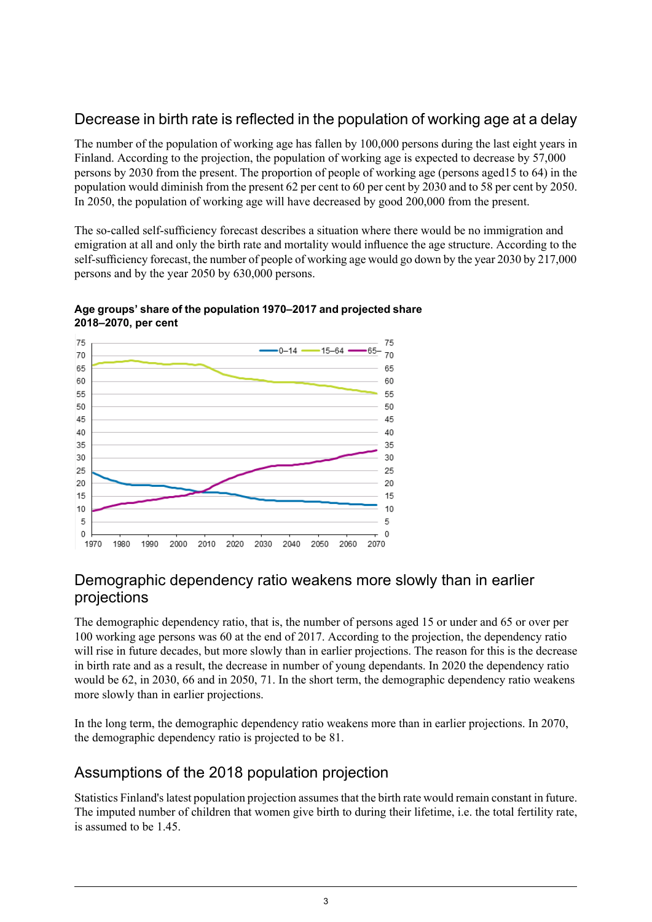## Decrease in birth rate is reflected in the population of working age at a delay

The number of the population of working age has fallen by 100,000 persons during the last eight years in Finland. According to the projection, the population of working age is expected to decrease by 57,000 persons by 2030 from the present. The proportion of people of working age (persons aged15 to 64) in the population would diminish from the present 62 per cent to 60 per cent by 2030 and to 58 per cent by 2050. In 2050, the population of working age will have decreased by good 200,000 from the present.

The so-called self-sufficiency forecast describes a situation where there would be no immigration and emigration at all and only the birth rate and mortality would influence the age structure. According to the self-sufficiency forecast, the number of people of working age would go down by the year 2030 by 217,000 persons and by the year 2050 by 630,000 persons.



#### **Age groups' share of the population 1970–2017 and projected share 2018–2070, per cent**

### Demographic dependency ratio weakens more slowly than in earlier projections

The demographic dependency ratio, that is, the number of persons aged 15 or under and 65 or over per 100 working age persons was 60 at the end of 2017. According to the projection, the dependency ratio will rise in future decades, but more slowly than in earlier projections. The reason for this is the decrease in birth rate and as a result, the decrease in number of young dependants. In 2020 the dependency ratio would be 62, in 2030, 66 and in 2050, 71. In the short term, the demographic dependency ratio weakens more slowly than in earlier projections.

In the long term, the demographic dependency ratio weakens more than in earlier projections. In 2070, the demographic dependency ratio is projected to be 81.

## Assumptions of the 2018 population projection

Statistics Finland'slatest population projection assumesthat the birth rate would remain constant in future. The imputed number of children that women give birth to during their lifetime, i.e. the total fertility rate, is assumed to be 1.45.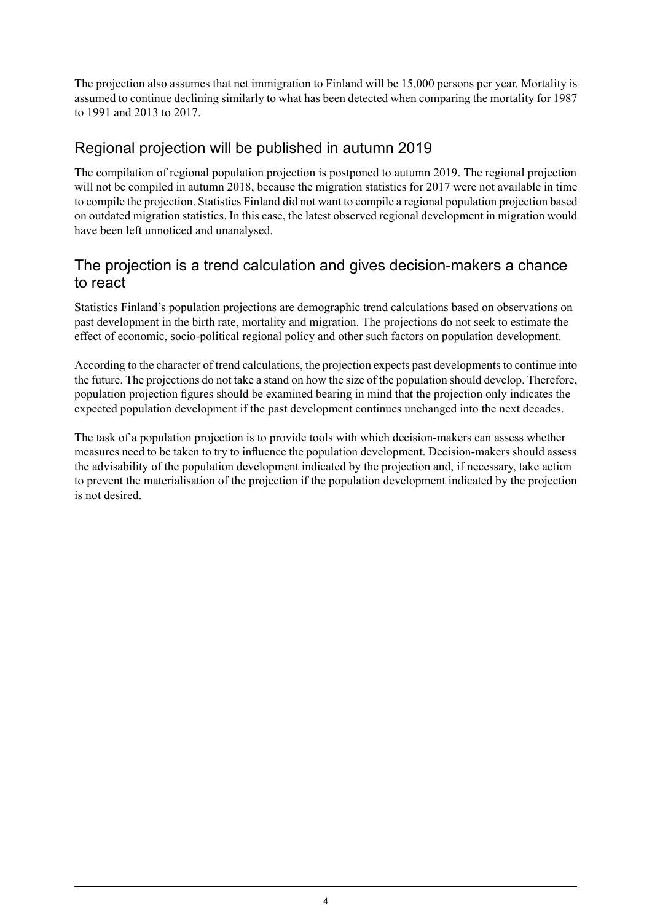The projection also assumes that net immigration to Finland will be 15,000 persons per year. Mortality is assumed to continue declining similarly to what has been detected when comparing the mortality for 1987 to 1991 and 2013 to 2017.

## Regional projection will be published in autumn 2019

The compilation of regional population projection is postponed to autumn 2019. The regional projection will not be compiled in autumn 2018, because the migration statistics for 2017 were not available in time to compile the projection. Statistics Finland did not want to compile a regional population projection based on outdated migration statistics. In this case, the latest observed regional development in migration would have been left unnoticed and unanalysed.

### The projection is a trend calculation and gives decision-makers a chance to react

Statistics Finland's population projections are demographic trend calculations based on observations on past development in the birth rate, mortality and migration. The projections do not seek to estimate the effect of economic, socio-political regional policy and other such factors on population development.

According to the character of trend calculations, the projection expects past developments to continue into the future. The projections do not take a stand on how the size of the population should develop. Therefore, population projection figures should be examined bearing in mind that the projection only indicates the expected population development if the past development continues unchanged into the next decades.

The task of a population projection is to provide tools with which decision-makers can assess whether measures need to be taken to try to influence the population development. Decision-makers should assess the advisability of the population development indicated by the projection and, if necessary, take action to prevent the materialisation of the projection if the population development indicated by the projection is not desired.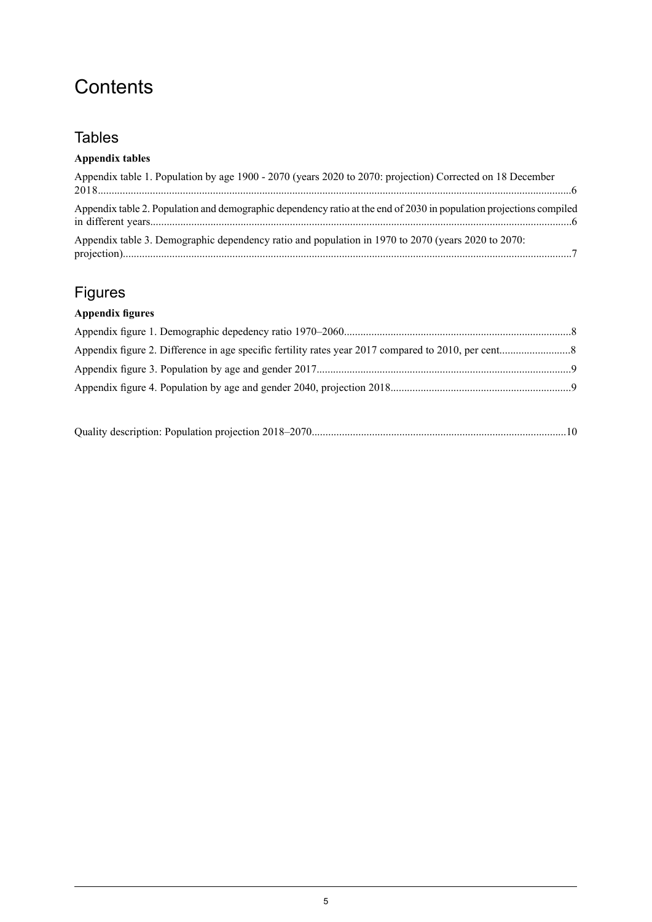## **Contents**

## **Tables**

### **Appendix tables**

| Appendix table 1. Population by age 1900 - 2070 (years 2020 to 2070: projection) Corrected on 18 December           |  |
|---------------------------------------------------------------------------------------------------------------------|--|
| Appendix table 2. Population and demographic dependency ratio at the end of 2030 in population projections compiled |  |
| Appendix table 3. Demographic dependency ratio and population in 1970 to 2070 (years 2020 to 2070:                  |  |

## Figures

## **Appendix figures**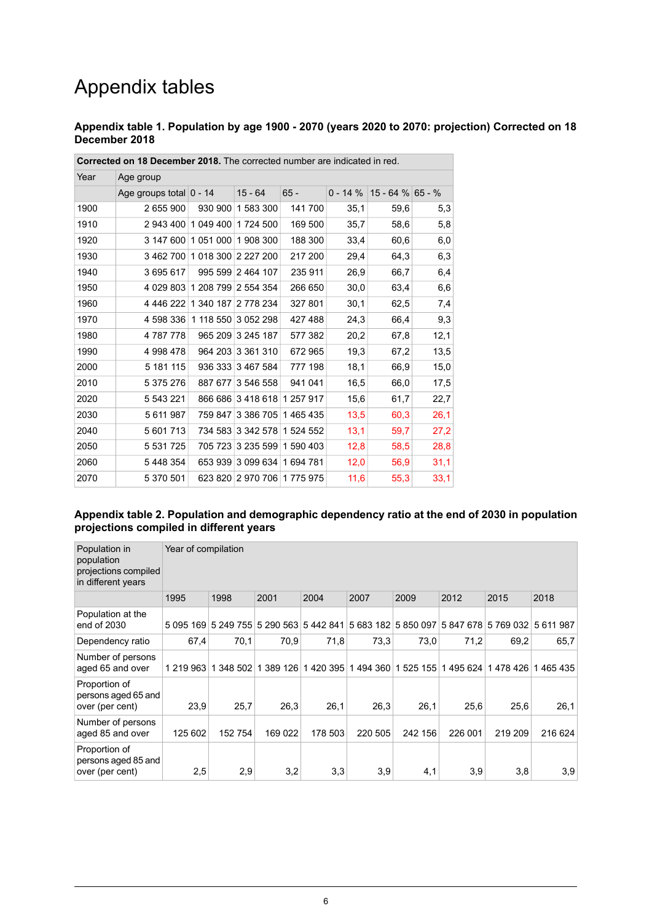## Appendix tables

#### <span id="page-5-0"></span>**Appendix table 1. Population by age 1900 - 2070 (years 2020 to 2070: projection) Corrected on 18 December 2018**

| Year | Age group                   |           |                             |           |             |                     |      |
|------|-----------------------------|-----------|-----------------------------|-----------|-------------|---------------------|------|
|      | Age groups total $ 0 - 14 $ |           | $15 - 64$                   | $65 -$    | $0 - 14 \%$ | $15 - 64 \%$ 65 - % |      |
| 1900 | 2 655 900                   | 930 900   | 1 583 300                   | 141700    | 35,1        | 59,6                | 5,3  |
| 1910 | 2 943 400                   | 1 049 400 | 1724 500                    | 169 500   | 35,7        | 58,6                | 5,8  |
| 1920 | 3 147 600                   | 1051000   | 1908300                     | 188 300   | 33,4        | 60,6                | 6,0  |
| 1930 | 3 462 700                   |           | 1 018 300 2 227 200         | 217 200   | 29,4        | 64,3                | 6,3  |
| 1940 | 3 695 617                   |           | 995 599 2 464 107           | 235 911   | 26,9        | 66,7                | 6,4  |
| 1950 | 4 029 803                   |           | 1 208 799 2 554 354         | 266 650   | 30,0        | 63,4                | 6,6  |
| 1960 | 4 446 222                   |           | 1 340 187 2 778 234         | 327 801   | 30,1        | 62,5                | 7,4  |
| 1970 | 4 598 336                   | 1 118 550 | 3 052 298                   | 427488    | 24,3        | 66,4                | 9,3  |
| 1980 | 4 787 778                   | 965 209   | 3 245 187                   | 577 382   | 20,2        | 67,8                | 12,1 |
| 1990 | 4 998 478                   |           | 964 203 3 361 310           | 672 965   | 19,3        | 67,2                | 13,5 |
| 2000 | 5 181 115                   |           | 936 333 3 467 584           | 777 198   | 18,1        | 66,9                | 15,0 |
| 2010 | 5 375 276                   |           | 887 677 3 546 558           | 941 041   | 16,5        | 66,0                | 17,5 |
| 2020 | 5 543 221                   | 866 686   | 3418618                     | 1 257 917 | 15,6        | 61,7                | 22,7 |
| 2030 | 5 611 987                   | 759 847   | 3 386 705                   | 1465435   | 13,5        | 60,3                | 26,1 |
| 2040 | 5 601 713                   |           | 734 583 3 342 578           | 1 524 552 | 13,1        | 59,7                | 27,2 |
| 2050 | 5 5 3 1 7 2 5               |           | 705 723 3 235 599           | 1 590 403 | 12,8        | 58,5                | 28,8 |
| 2060 | 5 448 354                   | 653 939   | 3 099 634                   | 1694781   | 12,0        | 56,9                | 31,1 |
| 2070 | 5 370 501                   |           | 623 820 2 970 706 1 775 975 |           | 11,6        | 55,3                | 33,1 |

**Corrected on 18 December 2018.** The corrected number are indicated in red.

#### <span id="page-5-1"></span>**Appendix table 2. Population and demographic dependency ratio at the end of 2030 in population projections compiled in different years**

| Population in<br>population<br>projections compiled<br>in different years | Year of compilation |           |           |          |           |              |         |                     |           |
|---------------------------------------------------------------------------|---------------------|-----------|-----------|----------|-----------|--------------|---------|---------------------|-----------|
|                                                                           | 1995                | 1998      | 2001      | 2004     | 2007      | 2009         | 2012    | 2015                | 2018      |
| Population at the<br>end of 2030                                          | 5 095 169           | 5 249 755 | 5 290 563 | 5442841  | 5 683 182 | 5 850 097    |         | 5 847 678 5 769 032 | 5 611 987 |
| Dependency ratio                                                          | 67,4                | 70,1      | 70.9      | 71,8     | 73.3      | 73,0         | 71,2    | 69,2                | 65,7      |
| Number of persons<br>aged 65 and over                                     | 1 219 963           | 348 502   | 389 126   | 1420 395 | 494 360   | 525 155<br>1 | 1495624 | 1478426             | 465 435   |
| Proportion of<br>persons aged 65 and<br>over (per cent)                   | 23,9                | 25,7      | 26,3      | 26,1     | 26,3      | 26,1         | 25,6    | 25,6                | 26,1      |
| Number of persons<br>aged 85 and over                                     | 125 602             | 152 754   | 169 022   | 178 503  | 220 505   | 242 156      | 226 001 | 219 209             | 216 624   |
| Proportion of<br>persons aged 85 and<br>over (per cent)                   | 2,5                 | 2,9       | 3,2       | 3,3      | 3,9       | 4,1          | 3,9     | 3,8                 | 3,9       |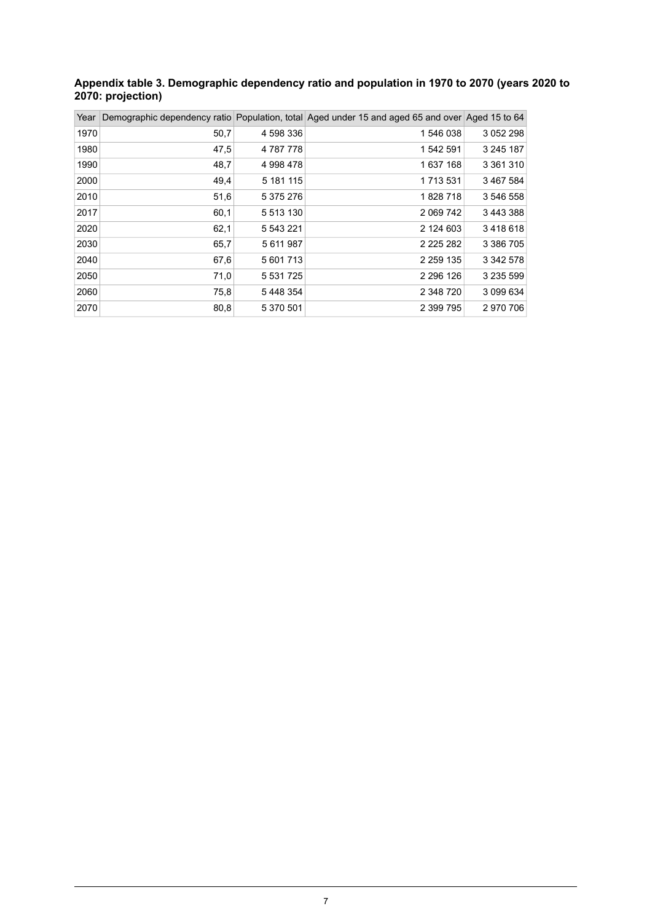#### <span id="page-6-0"></span>**Appendix table 3. Demographic dependency ratio and population in 1970 to 2070 (years 2020 to 2070: projection)**

| Year |      |               | Demographic dependency ratio Population, total Aged under 15 and aged 65 and over Aged 15 to 64 |           |
|------|------|---------------|-------------------------------------------------------------------------------------------------|-----------|
| 1970 | 50,7 | 4 598 336     | 1546038                                                                                         | 3 052 298 |
| 1980 | 47,5 | 4 787 778     | 1 542 591                                                                                       | 3 245 187 |
| 1990 | 48,7 | 4 998 478     | 1637168                                                                                         | 3 361 310 |
| 2000 | 49,4 | 5 181 115     | 1 7 1 3 5 3 1                                                                                   | 3 467 584 |
| 2010 | 51,6 | 5 375 276     | 1828718                                                                                         | 3 546 558 |
| 2017 | 60,1 | 5 513 130     | 2 0 69 7 42                                                                                     | 3 443 388 |
| 2020 | 62,1 | 5 543 221     | 2 124 603                                                                                       | 3418618   |
| 2030 | 65,7 | 5 611 987     | 2 2 2 5 2 8 2                                                                                   | 3 386 705 |
| 2040 | 67,6 | 5 601 713     | 2 2 5 9 1 3 5                                                                                   | 3 342 578 |
| 2050 | 71,0 | 5 5 3 1 7 2 5 | 2 2 9 6 1 2 6                                                                                   | 3 235 599 |
| 2060 | 75,8 | 5448354       | 2 348 720                                                                                       | 3 099 634 |
| 2070 | 80,8 | 5 370 501     | 2 399 795                                                                                       | 2 970 706 |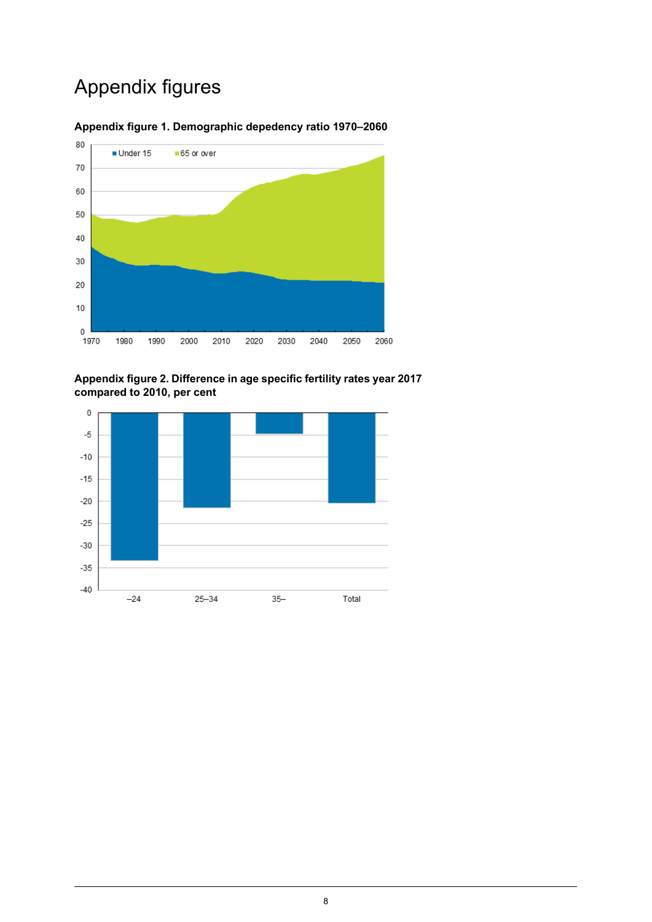## Appendix figures



#### <span id="page-7-0"></span>**Appendix figure 1. Demographic depedency ratio 1970–2060**

<span id="page-7-1"></span>**Appendix figure 2. Difference in age specific fertility rates year 2017 compared to 2010, per cent**

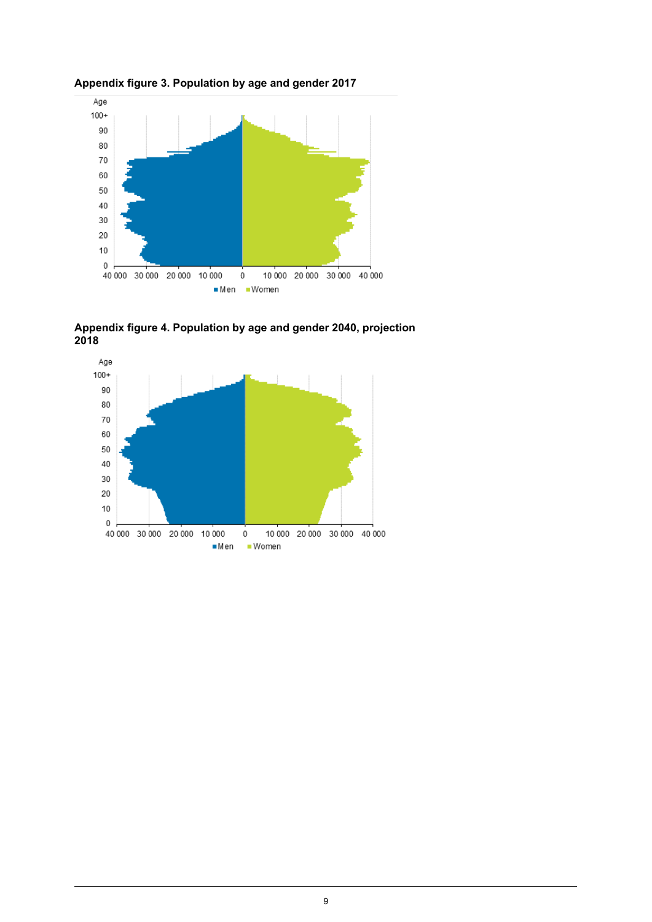

<span id="page-8-0"></span>**Appendix figure 3. Population by age and gender 2017**

<span id="page-8-1"></span>

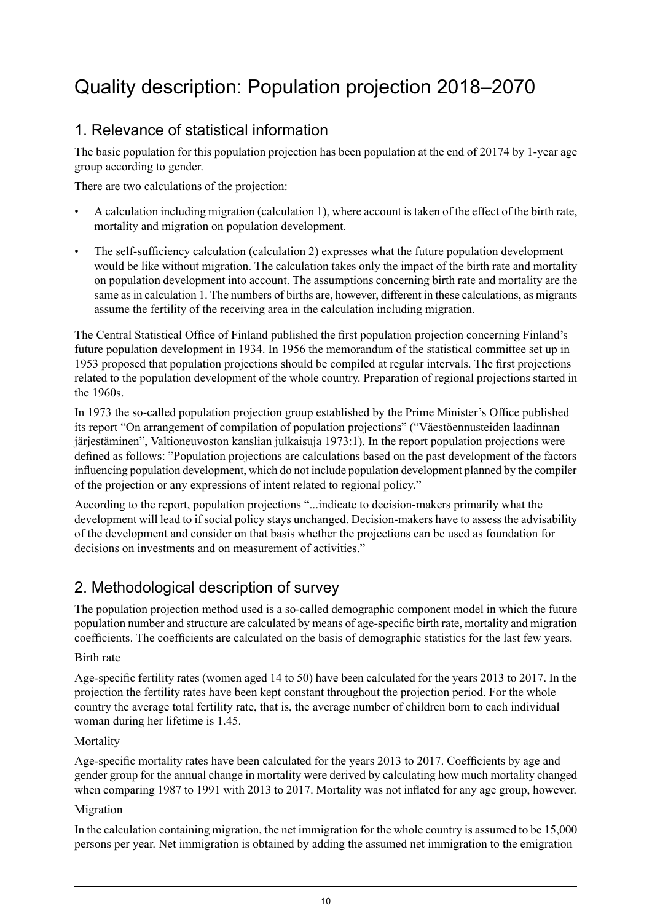## <span id="page-9-0"></span>Quality description: Population projection 2018–2070

## 1. Relevance of statistical information

The basic population for this population projection has been population at the end of 20174 by 1-year age group according to gender.

There are two calculations of the projection:

- A calculation including migration (calculation 1), where account is taken of the effect of the birth rate, mortality and migration on population development.
- The self-sufficiency calculation (calculation 2) expresses what the future population development would be like without migration. The calculation takes only the impact of the birth rate and mortality on population development into account. The assumptions concerning birth rate and mortality are the same as in calculation 1. The numbers of births are, however, different in these calculations, as migrants assume the fertility of the receiving area in the calculation including migration.

The Central Statistical Office of Finland published the first population projection concerning Finland's future population development in 1934. In 1956 the memorandum of the statistical committee set up in 1953 proposed that population projections should be compiled at regular intervals. The first projections related to the population development of the whole country. Preparation of regional projections started in the 1960s.

In 1973 the so-called population projection group established by the Prime Minister's Office published its report "On arrangement of compilation of population projections" ("Väestöennusteiden laadinnan järjestäminen", Valtioneuvoston kanslian julkaisuja 1973:1). In the report population projections were defined as follows: "Population projections are calculations based on the past development of the factors influencing population development, which do not include population development planned by the compiler of the projection or any expressions of intent related to regional policy."

According to the report, population projections "...indicate to decision-makers primarily what the development will lead to if social policy stays unchanged. Decision-makers have to assess the advisability of the development and consider on that basis whether the projections can be used as foundation for decisions on investments and on measurement of activities.<sup>"</sup>

## 2. Methodological description of survey

The population projection method used is a so-called demographic component model in which the future population number and structure are calculated by means of age-specific birth rate, mortality and migration coefficients. The coefficients are calculated on the basis of demographic statistics for the last few years.

#### Birth rate

Age-specific fertility rates (women aged 14 to 50) have been calculated for the years 2013 to 2017. In the projection the fertility rates have been kept constant throughout the projection period. For the whole country the average total fertility rate, that is, the average number of children born to each individual woman during her lifetime is 1.45.

#### Mortality

Age-specific mortality rates have been calculated for the years 2013 to 2017. Coefficients by age and gender group for the annual change in mortality were derived by calculating how much mortality changed when comparing 1987 to 1991 with 2013 to 2017. Mortality was not inflated for any age group, however.

#### Migration

In the calculation containing migration, the net immigration for the whole country is assumed to be 15,000 persons per year. Net immigration is obtained by adding the assumed net immigration to the emigration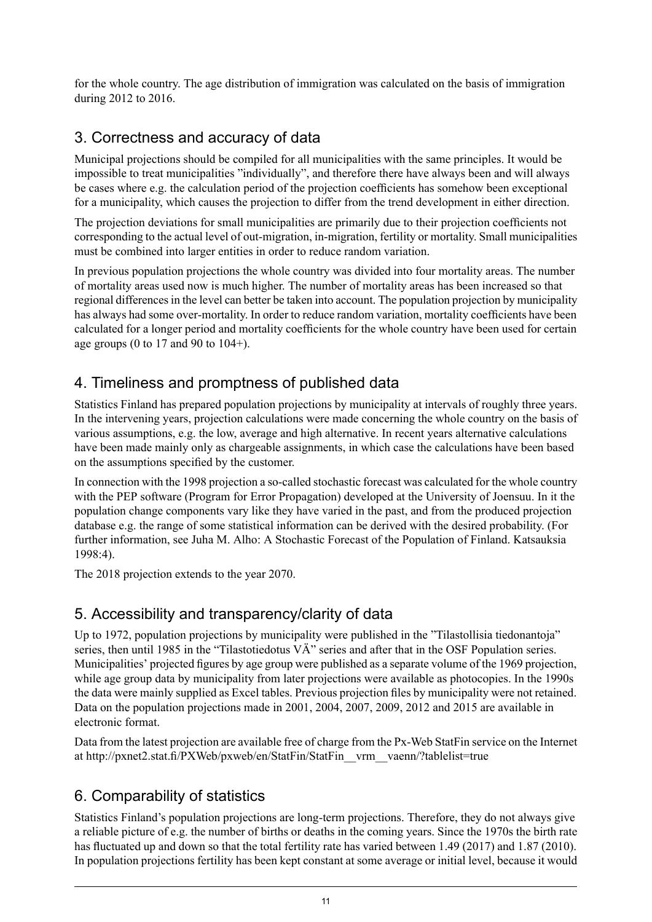for the whole country. The age distribution of immigration was calculated on the basis of immigration during 2012 to 2016.

## 3. Correctness and accuracy of data

Municipal projections should be compiled for all municipalities with the same principles. It would be impossible to treat municipalities "individually", and therefore there have always been and will always be cases where e.g. the calculation period of the projection coefficients has somehow been exceptional for a municipality, which causes the projection to differ from the trend development in either direction.

The projection deviations for small municipalities are primarily due to their projection coefficients not corresponding to the actual level of out-migration, in-migration, fertility or mortality. Small municipalities must be combined into larger entities in order to reduce random variation.

In previous population projections the whole country was divided into four mortality areas. The number of mortality areas used now is much higher. The number of mortality areas has been increased so that regional differencesin the level can better be taken into account. The population projection by municipality has always had some over-mortality. In order to reduce random variation, mortality coefficients have been calculated for a longer period and mortality coefficients for the whole country have been used for certain age groups (0 to 17 and 90 to  $104+$ ).

## 4. Timeliness and promptness of published data

Statistics Finland has prepared population projections by municipality at intervals of roughly three years. In the intervening years, projection calculations were made concerning the whole country on the basis of various assumptions, e.g. the low, average and high alternative. In recent years alternative calculations have been made mainly only as chargeable assignments, in which case the calculations have been based on the assumptions specified by the customer.

In connection with the 1998 projection a so-called stochastic forecast was calculated for the whole country with the PEP software (Program for Error Propagation) developed at the University of Joensuu. In it the population change components vary like they have varied in the past, and from the produced projection database e.g. the range of some statistical information can be derived with the desired probability. (For further information, see Juha M. Alho: A Stochastic Forecast of the Population of Finland. Katsauksia 1998:4).

The 2018 projection extends to the year 2070.

## 5. Accessibility and transparency/clarity of data

Up to 1972, population projections by municipality were published in the "Tilastollisia tiedonantoja" series, then until 1985 in the "Tilastotiedotus VÄ" series and after that in the OSF Population series. Municipalities' projected figures by age group were published as a separate volume of the 1969 projection, while age group data by municipality from later projections were available as photocopies. In the 1990s the data were mainly supplied as Excel tables. Previous projection files by municipality were not retained. Data on the population projections made in 2001, 2004, 2007, 2009, 2012 and 2015 are available in electronic format.

Data from the latest projection are available free of charge from the Px-Web StatFin service on the Internet at http://pxnet2.stat.fi/PXWeb/pxweb/en/StatFin/StatFin\_\_vrm\_\_vaenn/?tablelist=true

## 6. Comparability of statistics

Statistics Finland's population projections are long-term projections. Therefore, they do not always give a reliable picture of e.g. the number of births or deaths in the coming years. Since the 1970s the birth rate has fluctuated up and down so that the total fertility rate has varied between 1.49 (2017) and 1.87 (2010). In population projections fertility has been kept constant at some average or initial level, because it would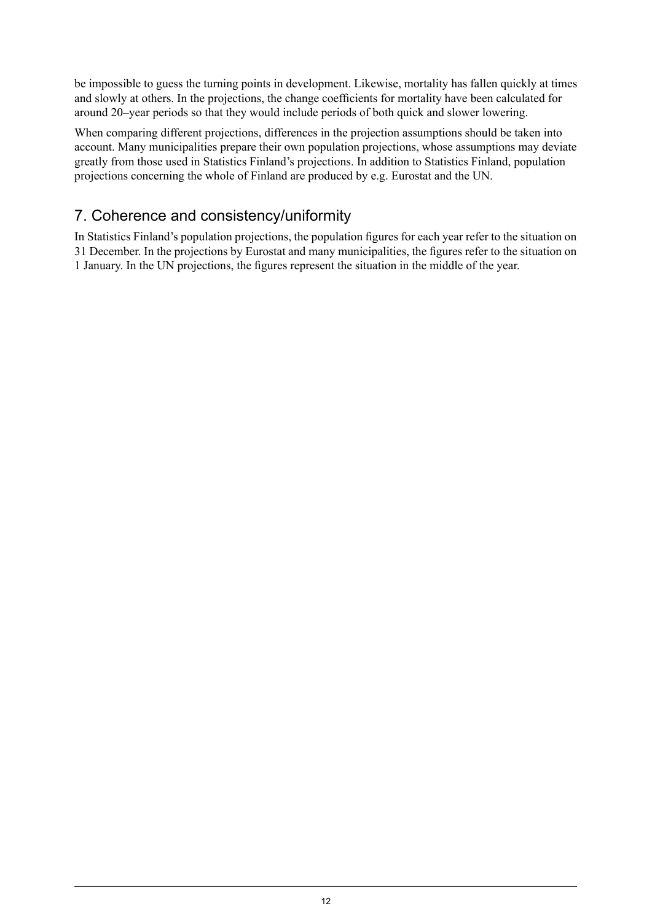be impossible to guess the turning points in development. Likewise, mortality has fallen quickly at times and slowly at others. In the projections, the change coefficients for mortality have been calculated for around 20–year periods so that they would include periods of both quick and slower lowering.

When comparing different projections, differences in the projection assumptions should be taken into account. Many municipalities prepare their own population projections, whose assumptions may deviate greatly from those used in Statistics Finland's projections. In addition to Statistics Finland, population projections concerning the whole of Finland are produced by e.g. Eurostat and the UN.

## 7. Coherence and consistency/uniformity

In Statistics Finland's population projections, the population figures for each year refer to the situation on 31 December. In the projections by Eurostat and many municipalities, the figures refer to the situation on 1 January. In the UN projections, the figures represent the situation in the middle of the year.